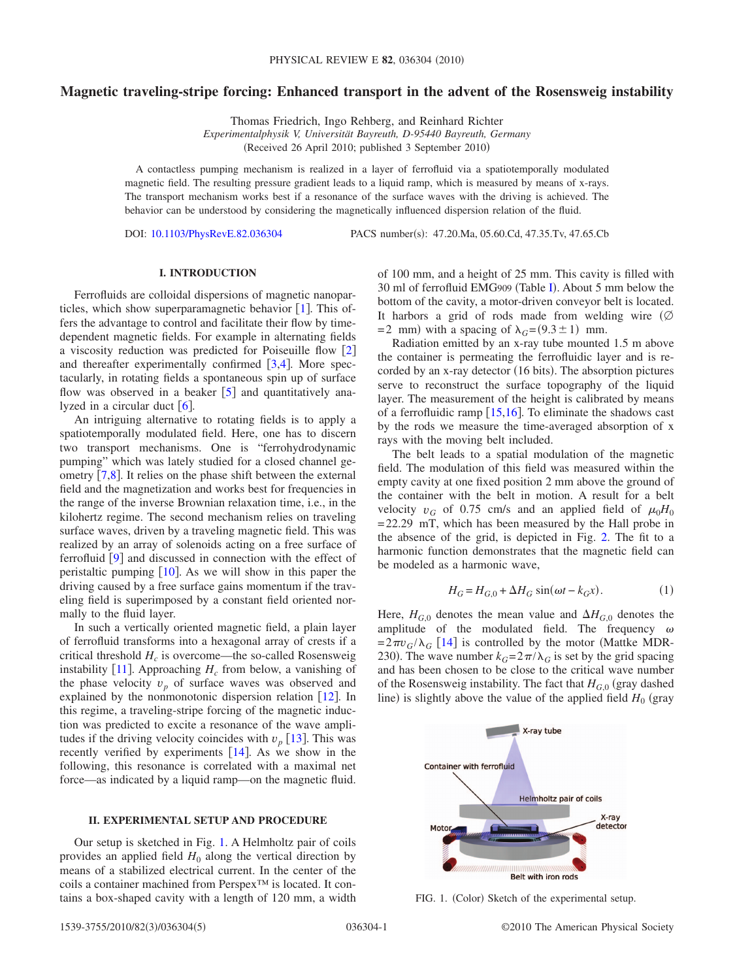# **Magnetic traveling-stripe forcing: Enhanced transport in the advent of the Rosensweig instability**

Thomas Friedrich, Ingo Rehberg, and Reinhard Richter *Experimentalphysik V, Universität Bayreuth, D-95440 Bayreuth, Germany* (Received 26 April 2010; published 3 September 2010)

A contactless pumping mechanism is realized in a layer of ferrofluid via a spatiotemporally modulated magnetic field. The resulting pressure gradient leads to a liquid ramp, which is measured by means of x-rays. The transport mechanism works best if a resonance of the surface waves with the driving is achieved. The behavior can be understood by considering the magnetically influenced dispersion relation of the fluid.

DOI: [10.1103/PhysRevE.82.036304](http://dx.doi.org/10.1103/PhysRevE.82.036304)

PACS number(s): 47.20.Ma, 05.60.Cd, 47.35.Tv, 47.65.Cb

### **I. INTRODUCTION**

Ferrofluids are colloidal dispersions of magnetic nanoparticles, which show superparamagnetic behavior  $[1]$  $[1]$  $[1]$ . This offers the advantage to control and facilitate their flow by timedependent magnetic fields. For example in alternating fields a viscosity reduction was predicted for Poiseuille flow [[2](#page-4-1)] and thereafter experimentally confirmed  $[3,4]$  $[3,4]$  $[3,4]$  $[3,4]$ . More spectacularly, in rotating fields a spontaneous spin up of surface flow was observed in a beaker  $\lceil 5 \rceil$  $\lceil 5 \rceil$  $\lceil 5 \rceil$  and quantitatively analyzed in a circular duct  $\lceil 6 \rceil$  $\lceil 6 \rceil$  $\lceil 6 \rceil$ .

An intriguing alternative to rotating fields is to apply a spatiotemporally modulated field. Here, one has to discern two transport mechanisms. One is "ferrohydrodynamic pumping" which was lately studied for a closed channel geometry  $\lceil 7, 8 \rceil$  $\lceil 7, 8 \rceil$  $\lceil 7, 8 \rceil$ . It relies on the phase shift between the external field and the magnetization and works best for frequencies in the range of the inverse Brownian relaxation time, i.e., in the kilohertz regime. The second mechanism relies on traveling surface waves, driven by a traveling magnetic field. This was realized by an array of solenoids acting on a free surface of ferrofluid  $\boxed{9}$  $\boxed{9}$  $\boxed{9}$  and discussed in connection with the effect of peristaltic pumping  $\lceil 10 \rceil$  $\lceil 10 \rceil$  $\lceil 10 \rceil$ . As we will show in this paper the driving caused by a free surface gains momentum if the traveling field is superimposed by a constant field oriented normally to the fluid layer.

In such a vertically oriented magnetic field, a plain layer of ferrofluid transforms into a hexagonal array of crests if a critical threshold  $H_c$  is overcome—the so-called Rosensweig instability  $[11]$  $[11]$  $[11]$ . Approaching  $H_c$  from below, a vanishing of the phase velocity  $v_p$  of surface waves was observed and explained by the nonmonotonic dispersion relation  $\lceil 12 \rceil$  $\lceil 12 \rceil$  $\lceil 12 \rceil$ . In this regime, a traveling-stripe forcing of the magnetic induction was predicted to excite a resonance of the wave amplitudes if the driving velocity coincides with  $v_p$  [[13](#page-4-12)]. This was recently verified by experiments  $[14]$  $[14]$  $[14]$ . As we show in the following, this resonance is correlated with a maximal net force—as indicated by a liquid ramp—on the magnetic fluid.

## **II. EXPERIMENTAL SETUP AND PROCEDURE**

<span id="page-0-2"></span>Our setup is sketched in Fig. [1.](#page-0-0) A Helmholtz pair of coils provides an applied field  $H_0$  along the vertical direction by means of a stabilized electrical current. In the center of the coils a container machined from Perspex™ is located. It contains a box-shaped cavity with a length of 120 mm, a width of 100 mm, and a height of 25 mm. This cavity is filled with 30 ml of ferrofluid EMG909 (Table [I](#page-1-0)). About 5 mm below the bottom of the cavity, a motor-driven conveyor belt is located. It harbors a grid of rods made from welding wire  $(\emptyset)$  $= 2$  mm) with a spacing of  $\lambda_G = (9.3 \pm 1)$  mm.

Radiation emitted by an x-ray tube mounted 1.5 m above the container is permeating the ferrofluidic layer and is recorded by an x-ray detector (16 bits). The absorption pictures serve to reconstruct the surface topography of the liquid layer. The measurement of the height is calibrated by means of a ferrofluidic ramp  $[15,16]$  $[15,16]$  $[15,16]$  $[15,16]$ . To eliminate the shadows cast by the rods we measure the time-averaged absorption of x rays with the moving belt included.

The belt leads to a spatial modulation of the magnetic field. The modulation of this field was measured within the empty cavity at one fixed position 2 mm above the ground of the container with the belt in motion. A result for a belt velocity  $v_G$  of 0.75 cm/s and an applied field of  $\mu_0 H_0$  $= 22.29$  mT, which has been measured by the Hall probe in the absence of the grid, is depicted in Fig. [2.](#page-1-1) The fit to a harmonic function demonstrates that the magnetic field can be modeled as a harmonic wave,

$$
H_G = H_{G,0} + \Delta H_G \sin(\omega t - k_G x). \tag{1}
$$

<span id="page-0-1"></span>Here,  $H_{G,0}$  denotes the mean value and  $\Delta H_{G,0}$  denotes the amplitude of the modulated field. The frequency  $\omega$  $= 2\pi v_G / \lambda_G$  [[14](#page-4-13)] is controlled by the motor (Mattke MDR-230). The wave number  $k_G = 2\pi/\lambda_G$  is set by the grid spacing and has been chosen to be close to the critical wave number of the Rosensweig instability. The fact that  $H_{G,0}$  (gray dashed line) is slightly above the value of the applied field  $H_0$  (gray

<span id="page-0-0"></span>

FIG. 1. (Color) Sketch of the experimental setup.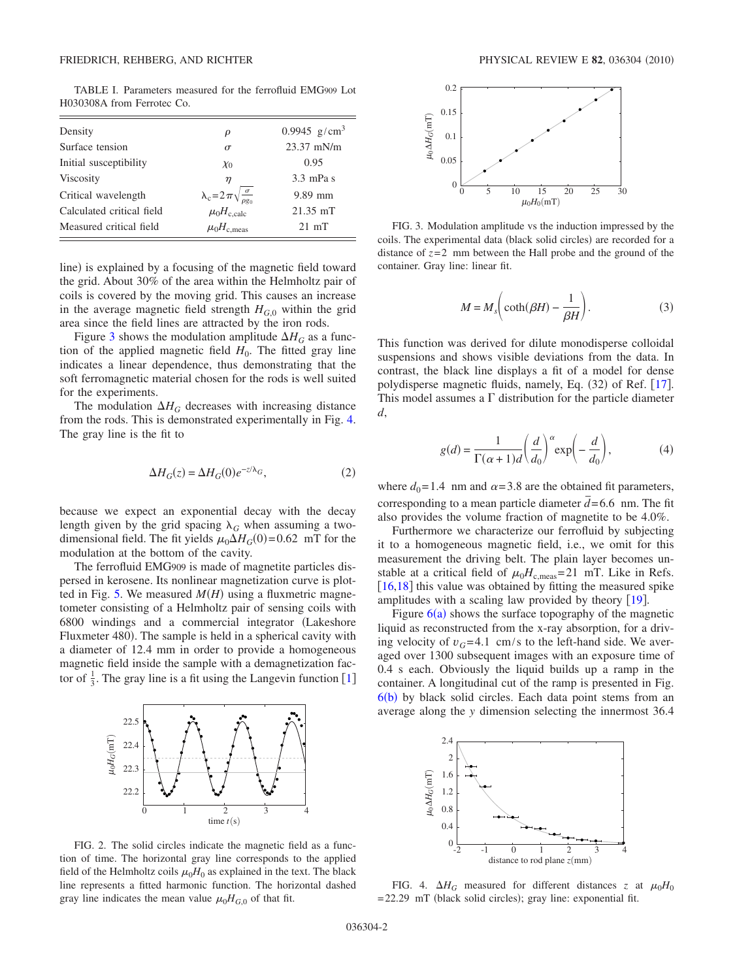<span id="page-1-0"></span>TABLE I. Parameters measured for the ferrofluid EMG909 Lot H030308A from Ferrotec Co.

| Density                   | ρ                                                                               | 0.9945 $g/cm^3$ |
|---------------------------|---------------------------------------------------------------------------------|-----------------|
| Surface tension           | $\sigma$                                                                        | $23.37$ mN/m    |
| Initial susceptibility    | $\chi_0$                                                                        | 0.95            |
| Viscosity                 | η                                                                               | $3.3$ mPa s     |
| Critical wavelength       | $\lambda_c = 2\pi \sqrt{\frac{\sigma}{\rho g_0}}$<br>$\mu_0 H_{c, \text{calc}}$ | $9.89$ mm       |
| Calculated critical field |                                                                                 | $21.35$ mT      |
| Measured critical field   | $\mu_0H_{\text{c.meas}}$                                                        | $21 \text{ mT}$ |

line) is explained by a focusing of the magnetic field toward the grid. About 30% of the area within the Helmholtz pair of coils is covered by the moving grid. This causes an increase in the average magnetic field strength  $H_{G,0}$  within the grid area since the field lines are attracted by the iron rods.

Figure [3](#page-1-2) shows the modulation amplitude  $\Delta H_G$  as a function of the applied magnetic field  $H_0$ . The fitted gray line indicates a linear dependence, thus demonstrating that the soft ferromagnetic material chosen for the rods is well suited for the experiments.

The modulation  $\Delta H_G$  decreases with increasing distance from the rods. This is demonstrated experimentally in Fig. [4.](#page-1-3) The gray line is the fit to

$$
\Delta H_G(z) = \Delta H_G(0)e^{-z/\lambda_G},\tag{2}
$$

because we expect an exponential decay with the decay length given by the grid spacing  $\lambda_G$  when assuming a twodimensional field. The fit yields  $\mu_0 \Delta H_G(0) = 0.62$  mT for the modulation at the bottom of the cavity.

The ferrofluid EMG909 is made of magnetite particles dispersed in kerosene. Its nonlinear magnetization curve is plot-ted in Fig. [5.](#page-2-0) We measured  $M(H)$  using a fluxmetric magnetometer consisting of a Helmholtz pair of sensing coils with 6800 windings and a commercial integrator Lakeshore Fluxmeter 480). The sample is held in a spherical cavity with a diameter of 12.4 mm in order to provide a homogeneous magnetic field inside the sample with a demagnetization factor of  $\frac{1}{3}$  $\frac{1}{3}$  $\frac{1}{3}$ . The gray line is a fit using the Langevin function [1]

<span id="page-1-1"></span>

FIG. 2. The solid circles indicate the magnetic field as a function of time. The horizontal gray line corresponds to the applied field of the Helmholtz coils  $\mu_0H_0$  as explained in the text. The black line represents a fitted harmonic function. The horizontal dashed gray line indicates the mean value  $\mu_0 H_{G,0}$  of that fit.

<span id="page-1-2"></span>

FIG. 3. Modulation amplitude vs the induction impressed by the coils. The experimental data (black solid circles) are recorded for a distance of  $z=2$  mm between the Hall probe and the ground of the container. Gray line: linear fit.

$$
M = M_s \bigg( \coth(\beta H) - \frac{1}{\beta H} \bigg). \tag{3}
$$

This function was derived for dilute monodisperse colloidal suspensions and shows visible deviations from the data. In contrast, the black line displays a fit of a model for dense polydisperse magnetic fluids, namely, Eq. (32) of Ref. [[17](#page-4-16)]. This model assumes a  $\Gamma$  distribution for the particle diameter *d*,

$$
g(d) = \frac{1}{\Gamma(\alpha+1)d} \left(\frac{d}{d_0}\right)^{\alpha} \exp\left(-\frac{d}{d_0}\right),\tag{4}
$$

where  $d_0 = 1.4$  nm and  $\alpha = 3.8$  are the obtained fit parameters, corresponding to a mean particle diameter  $\overline{d}$  = 6.6 nm. The fit also provides the volume fraction of magnetite to be 4.0%.

Furthermore we characterize our ferrofluid by subjecting it to a homogeneous magnetic field, i.e., we omit for this measurement the driving belt. The plain layer becomes unstable at a critical field of  $\mu_0 H_{\text{c,meas}} = 21 \text{ mT}$ . Like in Refs.  $[16,18]$  $[16,18]$  $[16,18]$  $[16,18]$  this value was obtained by fitting the measured spike amplitudes with a scaling law provided by theory  $[19]$  $[19]$  $[19]$ .

Figure  $6(a)$  $6(a)$  shows the surface topography of the magnetic liquid as reconstructed from the x-ray absorption, for a driving velocity of  $v_G$ =4.1 cm/s to the left-hand side. We averaged over 1300 subsequent images with an exposure time of 0.4 s each. Obviously the liquid builds up a ramp in the container. A longitudinal cut of the ramp is presented in Fig.  $6(b)$  $6(b)$  by black solid circles. Each data point stems from an average along the *y* dimension selecting the innermost 36.4

<span id="page-1-3"></span>

FIG. 4.  $\Delta H_G$  measured for different distances *z* at  $\mu_0 H_0$ = 22.29 mT (black solid circles); gray line: exponential fit.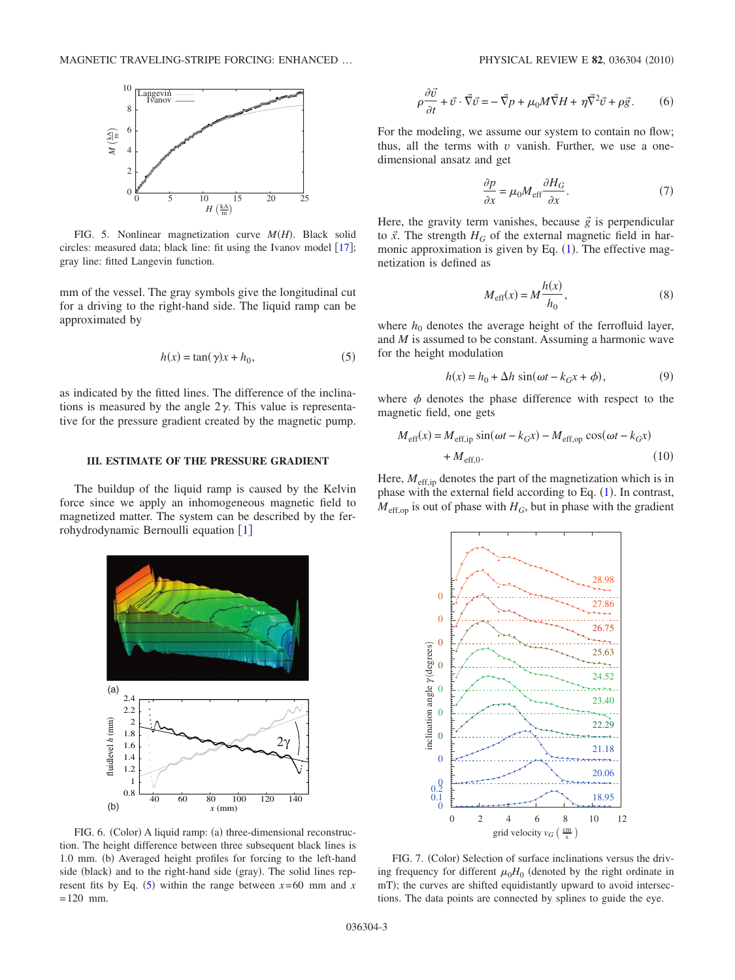<span id="page-2-0"></span>

FIG. 5. Nonlinear magnetization curve  $M(H)$ . Black solid circles: measured data; black line: fit using the Ivanov model  $[17]$  $[17]$  $[17]$ ; gray line: fitted Langevin function.

mm of the vessel. The gray symbols give the longitudinal cut for a driving to the right-hand side. The liquid ramp can be approximated by

$$
h(x) = \tan(\gamma)x + h_0,\tag{5}
$$

<span id="page-2-2"></span>as indicated by the fitted lines. The difference of the inclinations is measured by the angle  $2\gamma$ . This value is representative for the pressure gradient created by the magnetic pump.

### **III. ESTIMATE OF THE PRESSURE GRADIENT**

The buildup of the liquid ramp is caused by the Kelvin force since we apply an inhomogeneous magnetic field to magnetized matter. The system can be described by the fer-rohydrodynamic Bernoulli equation [[1](#page-4-0)]

<span id="page-2-1"></span>

$$
\rho \frac{\partial \vec{v}}{\partial t} + \vec{v} \cdot \vec{\nabla} \vec{v} = -\vec{\nabla} p + \mu_0 M \vec{\nabla} H + \eta \vec{\nabla}^2 \vec{v} + \rho \vec{g}.
$$
 (6)

For the modeling, we assume our system to contain no flow; thus, all the terms with *v* vanish. Further, we use a onedimensional ansatz and get

$$
\frac{\partial p}{\partial x} = \mu_0 M_{\text{eff}} \frac{\partial H_G}{\partial x}.
$$
 (7)

<span id="page-2-4"></span>Here, the gravity term vanishes, because  $\vec{g}$  is perpendicular to  $\vec{x}$ . The strength  $H_G$  of the external magnetic field in harmonic approximation is given by Eq.  $(1)$  $(1)$  $(1)$ . The effective magnetization is defined as

$$
M_{\text{eff}}(x) = M \frac{h(x)}{h_0},\tag{8}
$$

where  $h_0$  denotes the average height of the ferrofluid layer, and *M* is assumed to be constant. Assuming a harmonic wave for the height modulation

$$
h(x) = h_0 + \Delta h \sin(\omega t - k_G x + \phi),
$$
\n(9)

where  $\phi$  denotes the phase difference with respect to the magnetic field, one gets

<span id="page-2-3"></span>
$$
M_{\text{eff}}(x) = M_{\text{eff,ip}} \sin(\omega t - k_{G}x) - M_{\text{eff,op}} \cos(\omega t - k_{G}x)
$$
  
+ 
$$
M_{\text{eff,0}}.
$$
 (10)

Here,  $M_{\text{eff,ip}}$  denotes the part of the magnetization which is in phase with the external field according to Eq.  $(1)$  $(1)$  $(1)$ . In contrast,  $M_{\text{eff,op}}$  is out of phase with  $H_G$ , but in phase with the gradient

<span id="page-2-5"></span>

FIG. 6. (Color) A liquid ramp: (a) three-dimensional reconstruction. The height difference between three subsequent black lines is 1.0 mm. (b) Averaged height profiles for forcing to the left-hand side (black) and to the right-hand side (gray). The solid lines rep-resent fits by Eq. ([5](#page-2-2)) within the range between  $x=60$  mm and  $x = 60$  $= 120$  mm.

FIG. 7. (Color) Selection of surface inclinations versus the driving frequency for different  $\mu_0H_0$  (denoted by the right ordinate in mT); the curves are shifted equidistantly upward to avoid intersections. The data points are connected by splines to guide the eye.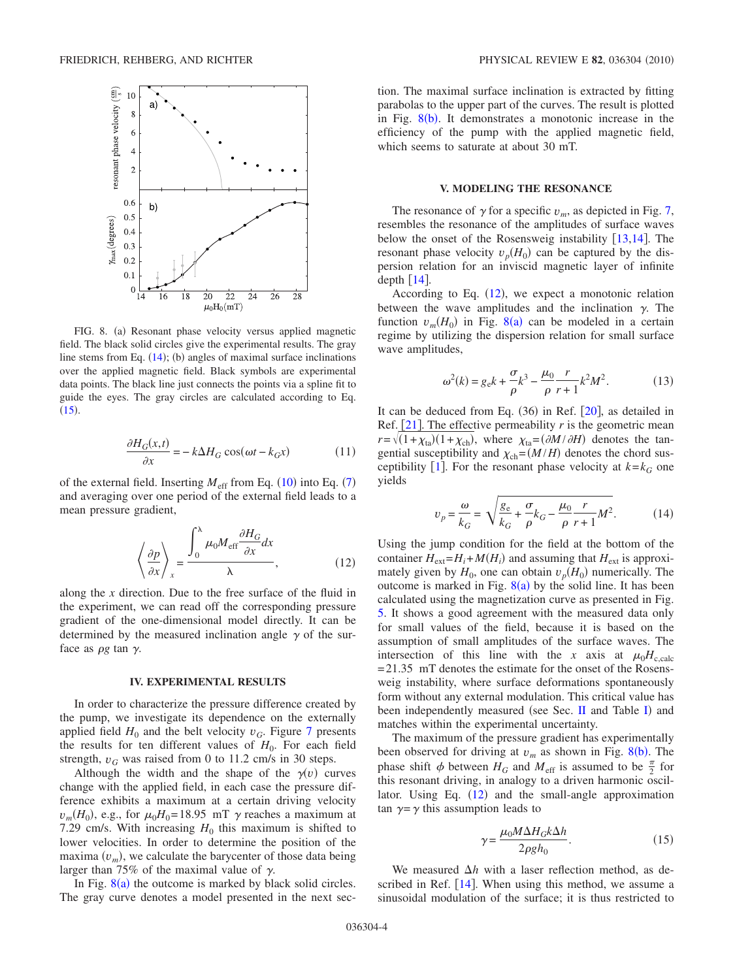<span id="page-3-0"></span>

FIG. 8. (a) Resonant phase velocity versus applied magnetic field. The black solid circles give the experimental results. The gray line stems from Eq.  $(14)$  $(14)$  $(14)$ ; (b) angles of maximal surface inclinations over the applied magnetic field. Black symbols are experimental data points. The black line just connects the points via a spline fit to guide the eyes. The gray circles are calculated according to Eq.  $(15).$  $(15).$  $(15).$ 

$$
\frac{\partial H_G(x,t)}{\partial x} = -k\Delta H_G \cos(\omega t - k_G x) \tag{11}
$$

<span id="page-3-1"></span>of the external field. Inserting  $M_{\text{eff}}$  from Eq. ([10](#page-2-3)) into Eq. ([7](#page-2-4)) and averaging over one period of the external field leads to a mean pressure gradient,

$$
\left\langle \frac{\partial p}{\partial x} \right\rangle_{x} = \frac{\int_{0}^{\lambda} \mu_{0} M_{\text{eff}} \frac{\partial H_{G}}{\partial x} dx}{\lambda},
$$
\n(12)

along the *x* direction. Due to the free surface of the fluid in the experiment, we can read off the corresponding pressure gradient of the one-dimensional model directly. It can be determined by the measured inclination angle  $\gamma$  of the surface as  $\rho g$  tan  $\gamma$ .

### **IV. EXPERIMENTAL RESULTS**

In order to characterize the pressure difference created by the pump, we investigate its dependence on the externally applied field  $H_0$  and the belt velocity  $v_G$ . Figure [7](#page-2-5) presents the results for ten different values of  $H_0$ . For each field strength,  $v_G$  was raised from 0 to 11.2 cm/s in 30 steps.

Although the width and the shape of the  $\gamma(v)$  curves change with the applied field, in each case the pressure difference exhibits a maximum at a certain driving velocity  $v_m(H_0)$ , e.g., for  $\mu_0H_0 = 18.95$  mT  $\gamma$  reaches a maximum at 7.29 cm/s. With increasing  $H_0$  this maximum is shifted to lower velocities. In order to determine the position of the maxima  $(v_m)$ , we calculate the barycenter of those data being larger than 75% of the maximal value of  $\gamma$ .

In Fig.  $8(a)$  $8(a)$  the outcome is marked by black solid circles. The gray curve denotes a model presented in the next section. The maximal surface inclination is extracted by fitting parabolas to the upper part of the curves. The result is plotted in Fig.  $8(b)$  $8(b)$ . It demonstrates a monotonic increase in the efficiency of the pump with the applied magnetic field, which seems to saturate at about 30 mT.

## **V. MODELING THE RESONANCE**

The resonance of  $\gamma$  for a specific  $v_m$ , as depicted in Fig. [7,](#page-2-5) resembles the resonance of the amplitudes of surface waves below the onset of the Rosensweig instability  $[13,14]$  $[13,14]$  $[13,14]$  $[13,14]$ . The resonant phase velocity  $v_p(H_0)$  can be captured by the dispersion relation for an inviscid magnetic layer of infinite depth  $\lceil 14 \rceil$  $\lceil 14 \rceil$  $\lceil 14 \rceil$ .

According to Eq.  $(12)$  $(12)$  $(12)$ , we expect a monotonic relation between the wave amplitudes and the inclination  $\gamma$ . The function  $v_m(H_0)$  in Fig. [8](#page-3-0)(a) can be modeled in a certain regime by utilizing the dispersion relation for small surface wave amplitudes,

$$
\omega^{2}(k) = g_{e}k + \frac{\sigma}{\rho}k^{3} - \frac{\mu_{0}}{\rho}\frac{r}{r+1}k^{2}M^{2}.
$$
 (13)

It can be deduced from Eq.  $(36)$  in Ref.  $[20]$  $[20]$  $[20]$ , as detailed in Ref.  $[21]$  $[21]$  $[21]$ . The effective permeability *r* is the geometric mean  $r = \sqrt{(1 + \chi_{\text{ta}})(1 + \chi_{\text{ch}})}$ , where  $\chi_{\text{ta}} = (\partial M / \partial H)$  denotes the tangential susceptibility and  $\chi_{ch} = (M/H)$  denotes the chord sus-ceptibility [[1](#page-4-0)]. For the resonant phase velocity at  $k = k_G$  one yields

$$
v_p = \frac{\omega}{k_G} = \sqrt{\frac{g_e}{k_G} + \frac{\sigma}{\rho} k_G - \frac{\mu_0}{\rho} \frac{r}{r+1} M^2}.
$$
 (14)

<span id="page-3-2"></span>Using the jump condition for the field at the bottom of the container  $H_{ext} = H_i + M(H_i)$  and assuming that  $H_{ext}$  is approximately given by  $H_0$ , one can obtain  $v_p(H_0)$  numerically. The outcome is marked in Fig.  $8(a)$  $8(a)$  by the solid line. It has been calculated using the magnetization curve as presented in Fig. [5.](#page-2-0) It shows a good agreement with the measured data only for small values of the field, because it is based on the assumption of small amplitudes of the surface waves. The intersection of this line with the *x* axis at  $\mu_0H_{c,\text{calc}}$  $= 21.35$  mT denotes the estimate for the onset of the Rosensweig instability, where surface deformations spontaneously form without any external modulation. This critical value has been independently measured (see Sec. [II](#page-0-2) and Table [I](#page-1-0)) and matches within the experimental uncertainty.

The maximum of the pressure gradient has experimentally been observed for driving at  $v_m$  as shown in Fig. [8](#page-3-0)(b). The phase shift  $\phi$  between  $H_G$  and  $M_{\text{eff}}$  is assumed to be  $\frac{\pi}{2}$  for this resonant driving, in analogy to a driven harmonic oscillator. Using Eq.  $(12)$  $(12)$  $(12)$  and the small-angle approximation tan  $\gamma = \gamma$  this assumption leads to

$$
\gamma = \frac{\mu_0 M \Delta H_G k \Delta h}{2 \rho g h_0}.
$$
\n(15)

<span id="page-3-3"></span>We measured  $\Delta h$  with a laser reflection method, as described in Ref.  $[14]$  $[14]$  $[14]$ . When using this method, we assume a sinusoidal modulation of the surface; it is thus restricted to